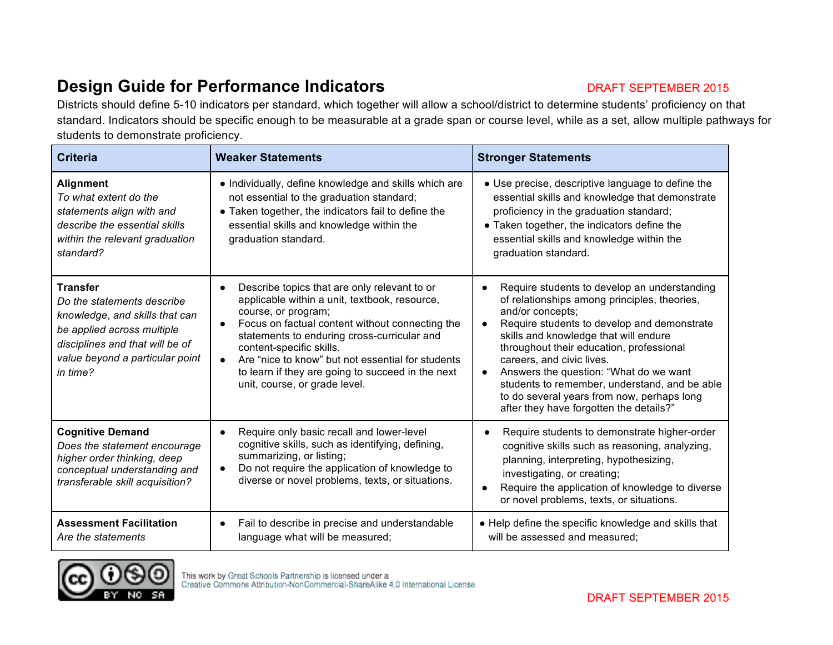## **Design Guide for Performance Indicators DRAFT SEPTEMBER 2015**

Districts should define 5-10 indicators per standard, which together will allow a school/district to determine students' proficiency on that standard. Indicators should be specific enough to be measurable at a grade span or course level, while as a set, allow multiple pathways for students to demonstrate proficiency.

| <b>Criteria</b>                                                                                                                                                                                 | <b>Weaker Statements</b>                                                                                                                                                                                                                                                                                                                                                                      | <b>Stronger Statements</b>                                                                                                                                                                                                                                                                                                                                                                                                                                                         |
|-------------------------------------------------------------------------------------------------------------------------------------------------------------------------------------------------|-----------------------------------------------------------------------------------------------------------------------------------------------------------------------------------------------------------------------------------------------------------------------------------------------------------------------------------------------------------------------------------------------|------------------------------------------------------------------------------------------------------------------------------------------------------------------------------------------------------------------------------------------------------------------------------------------------------------------------------------------------------------------------------------------------------------------------------------------------------------------------------------|
| <b>Alignment</b><br>To what extent do the<br>statements align with and<br>describe the essential skills<br>within the relevant graduation<br>standard?                                          | • Individually, define knowledge and skills which are<br>not essential to the graduation standard;<br>• Taken together, the indicators fail to define the<br>essential skills and knowledge within the<br>graduation standard.                                                                                                                                                                | • Use precise, descriptive language to define the<br>essential skills and knowledge that demonstrate<br>proficiency in the graduation standard;<br>• Taken together, the indicators define the<br>essential skills and knowledge within the<br>graduation standard.                                                                                                                                                                                                                |
| <b>Transfer</b><br>Do the statements describe<br>knowledge, and skills that can<br>be applied across multiple<br>disciplines and that will be of<br>value beyond a particular point<br>in time? | Describe topics that are only relevant to or<br>applicable within a unit, textbook, resource,<br>course, or program;<br>Focus on factual content without connecting the<br>statements to enduring cross-curricular and<br>content-specific skills.<br>Are "nice to know" but not essential for students<br>to learn if they are going to succeed in the next<br>unit, course, or grade level. | Require students to develop an understanding<br>of relationships among principles, theories,<br>and/or concepts;<br>Require students to develop and demonstrate<br>skills and knowledge that will endure<br>throughout their education, professional<br>careers, and civic lives.<br>Answers the question: "What do we want<br>$\bullet$<br>students to remember, understand, and be able<br>to do several years from now, perhaps long<br>after they have forgotten the details?" |
| <b>Cognitive Demand</b><br>Does the statement encourage<br>higher order thinking, deep<br>conceptual understanding and<br>transferable skill acquisition?                                       | Require only basic recall and lower-level<br>cognitive skills, such as identifying, defining,<br>summarizing, or listing;<br>Do not require the application of knowledge to<br>diverse or novel problems, texts, or situations.                                                                                                                                                               | Require students to demonstrate higher-order<br>cognitive skills such as reasoning, analyzing,<br>planning, interpreting, hypothesizing,<br>investigating, or creating;<br>Require the application of knowledge to diverse<br>or novel problems, texts, or situations.                                                                                                                                                                                                             |
| <b>Assessment Facilitation</b><br>Are the statements                                                                                                                                            | Fail to describe in precise and understandable<br>$\bullet$<br>language what will be measured;                                                                                                                                                                                                                                                                                                | • Help define the specific knowledge and skills that<br>will be assessed and measured;                                                                                                                                                                                                                                                                                                                                                                                             |